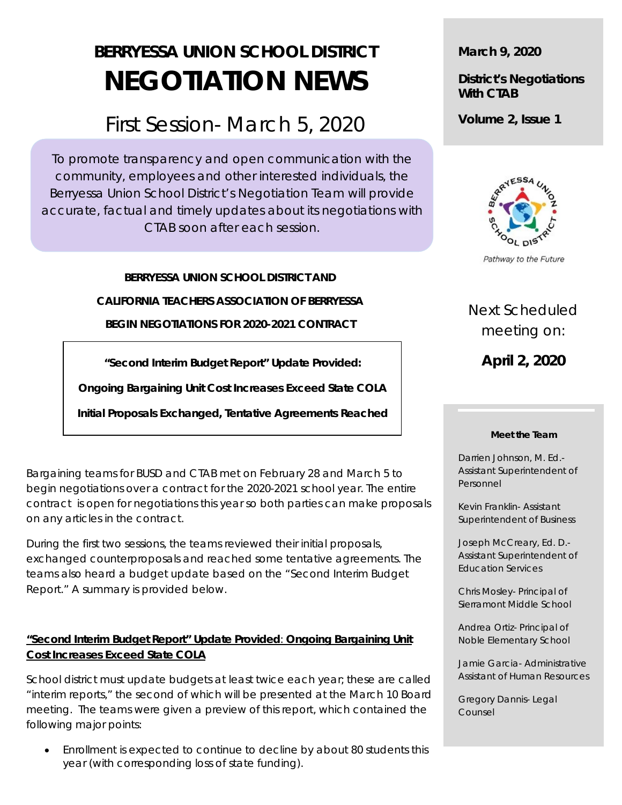# **BERRYESSA UNION SCHOOL DISTRICT NEGOTIATION NEWS**

# First Session- March 5, 2020

To promote transparency and open communication with the community, employees and other interested individuals, the Berryessa Union School District's Negotiation Team will provide accurate, factual and timely updates about its negotiations with CTAB soon after each session.

**BERRYESSA UNION SCHOOL DISTRICT AND**

**CALIFORNIA TEACHERS ASSOCIATION OF BERRYESSA**

**BEGIN NEGOTIATIONS FOR 2020-2021 CONTRACT**

**"Second Interim Budget Report" Update Provided:**

**Ongoing Bargaining Unit Cost Increases Exceed State COLA**

**Initial Proposals Exchanged, Tentative Agreements Reached**

Bargaining teams for BUSD and CTAB met on February 28 and March 5 to begin negotiations over a contract for the 2020-2021 school year. The entire contract is open for negotiations this year so both parties can make proposals on any articles in the contract.

During the first two sessions, the teams reviewed their initial proposals, exchanged counterproposals and reached some tentative agreements. The teams also heard a budget update based on the "Second Interim Budget Report." A summary is provided below.

# **"Second Interim Budget Report" Update Provided**: **Ongoing Bargaining Unit Cost Increases Exceed State COLA**

School district must update budgets at least twice each year; these are called "interim reports," the second of which will be presented at the March 10 Board meeting. The teams were given a preview of this report, which contained the following major points:

• Enrollment is expected to continue to decline by about 80 students this year (with corresponding loss of state funding).

**March 9, 2020**

**District's Negotiations With CTAB**

**Volume 2, Issue 1**



Pathway to the Future

# Next Scheduled meeting on:

**April 2, 2020**

#### **Meet the Team**

Darrien Johnson, M. Ed.- Assistant Superintendent of Personnel

Kevin Franklin- Assistant Superintendent of Business

Joseph McCreary, Ed. D.- Assistant Superintendent of Education Services

Chris Mosley- Principal of Sierramont Middle School

Andrea Ortiz- Principal of Noble Elementary School

Jamie Garcia- Administrative Assistant of Human Resources

Gregory Dannis- Legal Counsel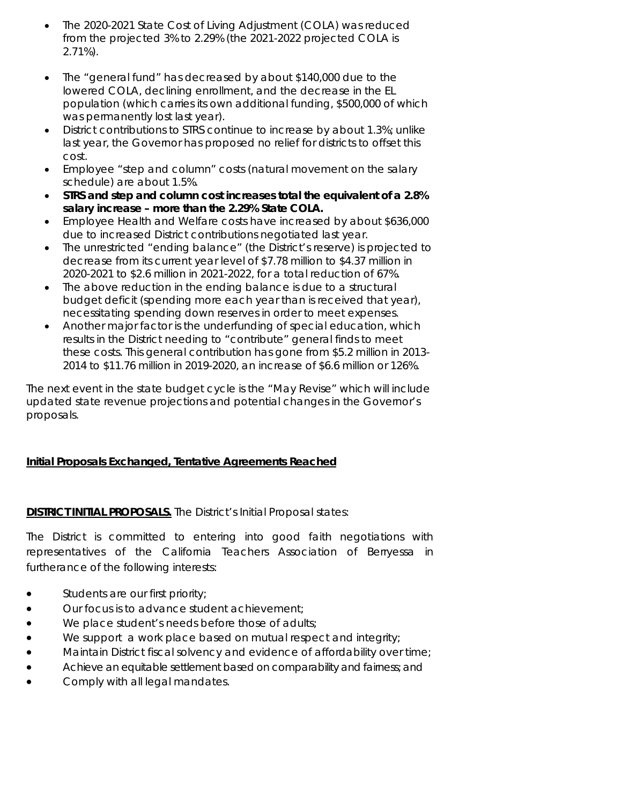- The 2020-2021 State Cost of Living Adjustment (COLA) was reduced from the projected 3% to 2.29% (the 2021-2022 projected COLA is 2.71%).
- The "general fund" has decreased by about \$140,000 due to the lowered COLA, declining enrollment, and the decrease in the EL population (which carries its own additional funding, \$500,000 of which was permanently lost last year).
- District contributions to STRS continue to increase by about 1.3%; unlike last year, the Governor has proposed no relief for districts to offset this cost.
- Employee "step and column" costs (natural movement on the salary schedule) are about 1.5%.
- **STRS and step and column cost increases total the equivalent of a 2.8% salary increase – more than the 2.29% State COLA.**
- Employee Health and Welfare costs have increased by about \$636,000 due to increased District contributions negotiated last year.
- The unrestricted "ending balance" (the District's reserve) is projected to decrease from its current year level of \$7.78 million to \$4.37 million in 2020-2021 to \$2.6 million in 2021-2022, for a total reduction of 67%.
- The above reduction in the ending balance is due to a structural budget deficit (spending more each year than is received that year), necessitating spending down reserves in order to meet expenses.
- Another major factor is the underfunding of special education, which results in the District needing to "contribute" general finds to meet these costs. This general contribution has gone from \$5.2 million in 2013- 2014 to \$11.76 million in 2019-2020, an increase of \$6.6 million or 126%.

The next event in the state budget cycle is the "May Revise" which will include updated state revenue projections and potential changes in the Governor's proposals.

# **Initial Proposals Exchanged, Tentative Agreements Reached**

# **DISTRICT INITIAL PROPOSALS.** The District's Initial Proposal states:

The District is committed to entering into good faith negotiations with representatives of the California Teachers Association of Berryessa in furtherance of the following interests:

- Students are our first priority;
- Our focus is to advance student achievement;
- We place student's needs before those of adults;
- We support a work place based on mutual respect and integrity;
- Maintain District fiscal solvency and evidence of affordability over time;
- Achieve an equitable settlement based on comparability and fairness; and
- Comply with all legal mandates.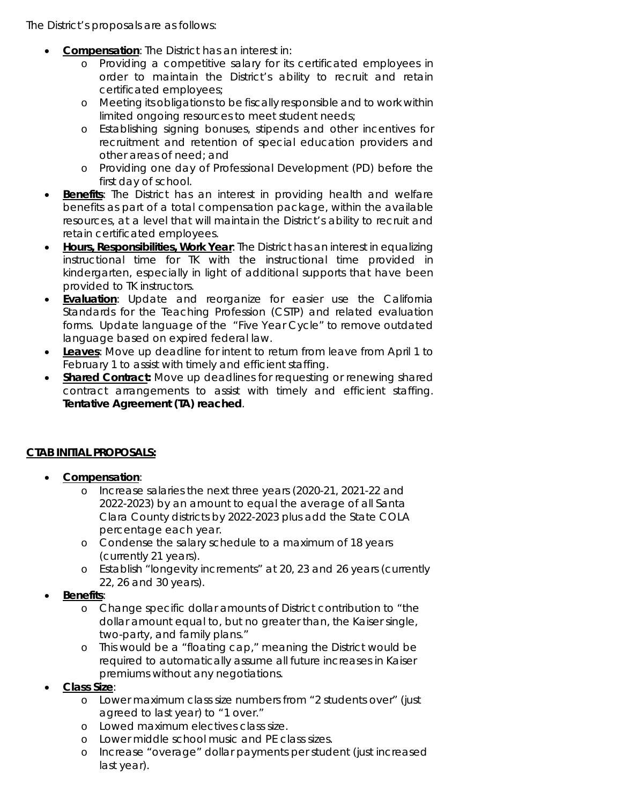The District's proposals are as follows:

- **Compensation**: The District has an interest in:
	- o Providing a competitive salary for its certificated employees in order to maintain the District's ability to recruit and retain certificated employees;
	- o Meeting its obligations to be fiscally responsible and to work within limited ongoing resources to meet student needs;
	- o Establishing signing bonuses, stipends and other incentives for recruitment and retention of special education providers and other areas of need; and
	- o Providing one day of Professional Development (PD) before the first day of school.
- **Benefits**: The District has an interest in providing health and welfare benefits as part of a total compensation package, within the available resources, at a level that will maintain the District's ability to recruit and retain certificated employees.
- **Hours, Responsibilities, Work Year**: The District has an interest in equalizing instructional time for TK with the instructional time provided in kindergarten, especially in light of additional supports that have been provided to TK instructors.
- **Evaluation**: Update and reorganize for easier use the California Standards for the Teaching Profession (CSTP) and related evaluation forms. Update language of the "Five Year Cycle" to remove outdated language based on expired federal law.
- **Leaves**: Move up deadline for intent to return from leave from April 1 to February 1 to assist with timely and efficient staffing.
- **Shared Contract:** Move up deadlines for requesting or renewing shared contract arrangements to assist with timely and efficient staffing. *Tentative Agreement (TA) reached.*

# **CTAB INITIAL PROPOSALS:**

- **Compensation**:
	- o Increase salaries the next three years (2020-21, 2021-22 and 2022-2023) by an amount to equal the average of all Santa Clara County districts by 2022-2023 plus add the State COLA percentage each year.
	- o Condense the salary schedule to a maximum of 18 years (currently 21 years).
	- o Establish "longevity increments" at 20, 23 and 26 years (currently 22, 26 and 30 years).
- **Benefits**:
	- o Change specific dollar amounts of District contribution to "the dollar amount equal to, but no greater than, the Kaiser single, two-party, and family plans."
	- o This would be a "floating cap," meaning the District would be required to automatically assume all future increases in Kaiser premiums without any negotiations.
- **Class Size**:
	- o Lower maximum class size numbers from "2 students over" (just agreed to last year) to "1 over."
	- o Lowed maximum electives class size.
	- o Lower middle school music and PE class sizes.
	- o Increase "overage" dollar payments per student (just increased last year).